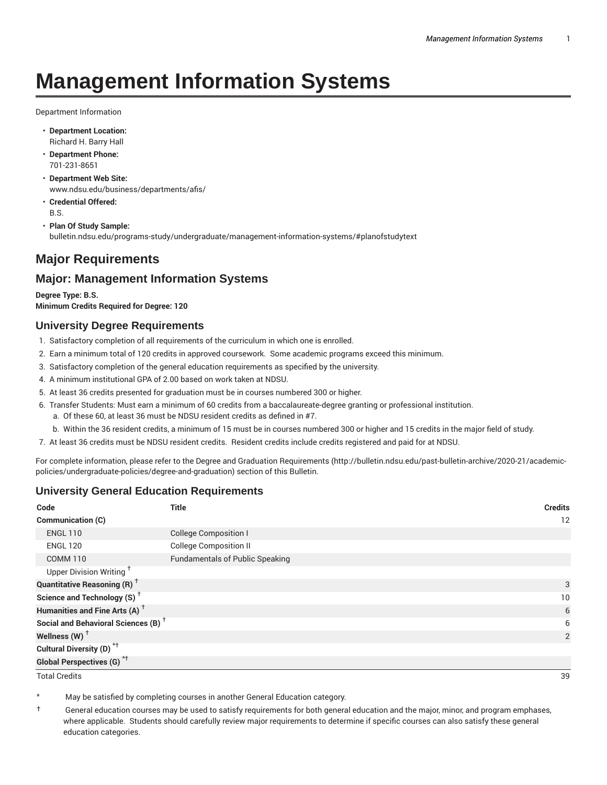# **Management Information Systems**

Department Information

- **Department Location:** Richard H. Barry Hall
- **Department Phone:** 701-231-8651
- **Department Web Site:** www.ndsu.edu/business/departments/afis/
- **Credential Offered:** B.S.
- **Plan Of Study Sample:** bulletin.ndsu.edu/programs-study/undergraduate/management-information-systems/#planofstudytext

# **Major Requirements**

# **Major: Management Information Systems**

**Degree Type: B.S. Minimum Credits Required for Degree: 120**

## **University Degree Requirements**

- 1. Satisfactory completion of all requirements of the curriculum in which one is enrolled.
- 2. Earn a minimum total of 120 credits in approved coursework. Some academic programs exceed this minimum.
- 3. Satisfactory completion of the general education requirements as specified by the university.
- 4. A minimum institutional GPA of 2.00 based on work taken at NDSU.
- 5. At least 36 credits presented for graduation must be in courses numbered 300 or higher.
- 6. Transfer Students: Must earn a minimum of 60 credits from a baccalaureate-degree granting or professional institution.
	- a. Of these 60, at least 36 must be NDSU resident credits as defined in #7.
	- b. Within the 36 resident credits, a minimum of 15 must be in courses numbered 300 or higher and 15 credits in the major field of study.
- 7. At least 36 credits must be NDSU resident credits. Resident credits include credits registered and paid for at NDSU.

For complete information, please refer to the Degree and Graduation Requirements (http://bulletin.ndsu.edu/past-bulletin-archive/2020-21/academicpolicies/undergraduate-policies/degree-and-graduation) section of this Bulletin.

## **University General Education Requirements**

| Code                                            | <b>Title</b>                           | <b>Credits</b>  |
|-------------------------------------------------|----------------------------------------|-----------------|
| <b>Communication (C)</b>                        |                                        | 12              |
| <b>ENGL 110</b>                                 | <b>College Composition I</b>           |                 |
| <b>ENGL 120</b>                                 | <b>College Composition II</b>          |                 |
| <b>COMM 110</b>                                 | <b>Fundamentals of Public Speaking</b> |                 |
| Upper Division Writing <sup>+</sup>             |                                        |                 |
| <b>Quantitative Reasoning (R)</b> <sup>†</sup>  |                                        | 3               |
| Science and Technology (S) <sup>+</sup>         |                                        | 10 <sup>°</sup> |
| Humanities and Fine Arts (A) <sup>+</sup>       |                                        | 6               |
| Social and Behavioral Sciences (B) <sup>+</sup> |                                        | 6               |
| Wellness $(W)$ <sup>+</sup>                     |                                        | 2               |
| Cultural Diversity (D) <sup>*†</sup>            |                                        |                 |
| <b>Global Perspectives (G)<sup>*†</sup></b>     |                                        |                 |

Total Credits 39

May be satisfied by completing courses in another General Education category.

† General education courses may be used to satisfy requirements for both general education and the major, minor, and program emphases, where applicable. Students should carefully review major requirements to determine if specific courses can also satisfy these general education categories.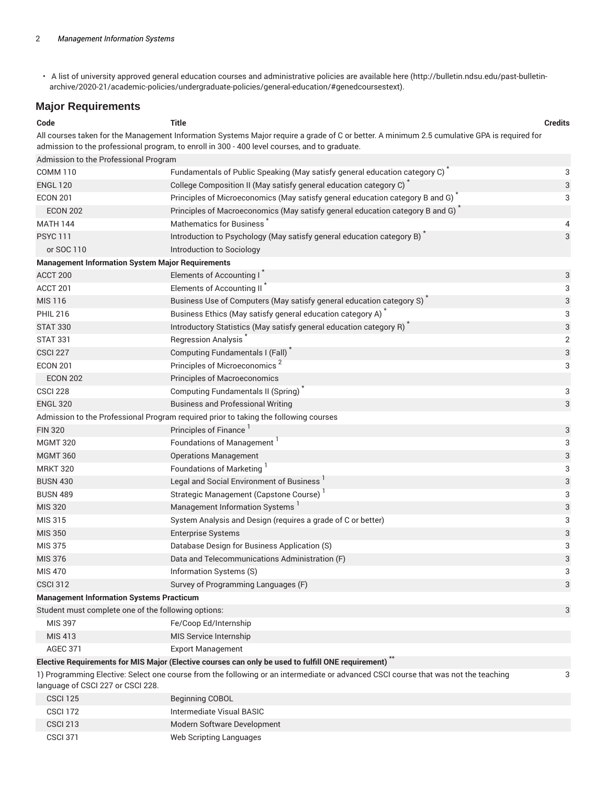• A list of university approved general education courses and administrative policies are available here (http://bulletin.ndsu.edu/past-bulletinarchive/2020-21/academic-policies/undergraduate-policies/general-education/#genedcoursestext).

## **Major Requirements**

| Code                                                    | <b>Title</b>                                                                                                                                                                                                                                 | <b>Credits</b>          |
|---------------------------------------------------------|----------------------------------------------------------------------------------------------------------------------------------------------------------------------------------------------------------------------------------------------|-------------------------|
|                                                         | All courses taken for the Management Information Systems Major require a grade of C or better. A minimum 2.5 cumulative GPA is required for<br>admission to the professional program, to enroll in 300 - 400 level courses, and to graduate. |                         |
| Admission to the Professional Program                   |                                                                                                                                                                                                                                              |                         |
| <b>COMM 110</b>                                         | Fundamentals of Public Speaking (May satisfy general education category C) <sup>*</sup>                                                                                                                                                      | 3                       |
| <b>ENGL 120</b>                                         | College Composition II (May satisfy general education category C) <sup>*</sup>                                                                                                                                                               | 3                       |
| <b>ECON 201</b>                                         | Principles of Microeconomics (May satisfy general education category B and G)                                                                                                                                                                | 3                       |
| <b>ECON 202</b>                                         | Principles of Macroeconomics (May satisfy general education category B and G) <sup>*</sup>                                                                                                                                                   |                         |
| <b>MATH 144</b>                                         | Mathematics for Business                                                                                                                                                                                                                     | 4                       |
| <b>PSYC 111</b>                                         | Introduction to Psychology (May satisfy general education category B)                                                                                                                                                                        | 3                       |
| or SOC 110                                              | Introduction to Sociology                                                                                                                                                                                                                    |                         |
| <b>Management Information System Major Requirements</b> |                                                                                                                                                                                                                                              |                         |
| ACCT 200                                                | Elements of Accounting I                                                                                                                                                                                                                     | 3                       |
| ACCT 201                                                | Elements of Accounting II                                                                                                                                                                                                                    | 3                       |
| <b>MIS 116</b>                                          | Business Use of Computers (May satisfy general education category S)                                                                                                                                                                         | 3                       |
| <b>PHIL 216</b>                                         | Business Ethics (May satisfy general education category A)                                                                                                                                                                                   | 3                       |
| <b>STAT 330</b>                                         | Introductory Statistics (May satisfy general education category R)                                                                                                                                                                           | 3                       |
| <b>STAT 331</b>                                         | Regression Analysis                                                                                                                                                                                                                          | $\overline{\mathbf{c}}$ |
| <b>CSCI 227</b>                                         | Computing Fundamentals I (Fall)                                                                                                                                                                                                              | 3                       |
| <b>ECON 201</b>                                         | Principles of Microeconomics <sup>2</sup>                                                                                                                                                                                                    | 3                       |
| <b>ECON 202</b>                                         | Principles of Macroeconomics                                                                                                                                                                                                                 |                         |
| <b>CSCI 228</b>                                         | Computing Fundamentals II (Spring)                                                                                                                                                                                                           | 3                       |
| <b>ENGL 320</b>                                         | <b>Business and Professional Writing</b>                                                                                                                                                                                                     | 3                       |
|                                                         | Admission to the Professional Program required prior to taking the following courses                                                                                                                                                         |                         |
| <b>FIN 320</b>                                          | Principles of Finance <sup>1</sup>                                                                                                                                                                                                           | 3                       |
| <b>MGMT 320</b>                                         | Foundations of Management                                                                                                                                                                                                                    | 3                       |
| <b>MGMT 360</b>                                         | <b>Operations Management</b>                                                                                                                                                                                                                 | 3                       |
| <b>MRKT 320</b>                                         | Foundations of Marketing                                                                                                                                                                                                                     | 3                       |
| <b>BUSN 430</b>                                         | Legal and Social Environment of Business                                                                                                                                                                                                     | 3                       |
| <b>BUSN 489</b>                                         | Strategic Management (Capstone Course)                                                                                                                                                                                                       | 3                       |
| <b>MIS 320</b>                                          | Management Information Systems                                                                                                                                                                                                               | 3                       |
| MIS 315                                                 | System Analysis and Design (requires a grade of C or better)                                                                                                                                                                                 | 3                       |
| <b>MIS 350</b>                                          | <b>Enterprise Systems</b>                                                                                                                                                                                                                    | 3                       |
| <b>MIS 375</b>                                          | Database Design for Business Application (S)                                                                                                                                                                                                 | 3                       |
| MIS 376                                                 | Data and Telecommunications Administration (F)                                                                                                                                                                                               | 3                       |
| <b>MIS 470</b>                                          | Information Systems (S)                                                                                                                                                                                                                      | 3                       |
| <b>CSCI 312</b>                                         | Survey of Programming Languages (F)                                                                                                                                                                                                          | 3                       |
| <b>Management Information Systems Practicum</b>         |                                                                                                                                                                                                                                              |                         |
| Student must complete one of the following options:     |                                                                                                                                                                                                                                              | 3                       |
| <b>MIS 397</b>                                          | Fe/Coop Ed/Internship                                                                                                                                                                                                                        |                         |
| <b>MIS 413</b>                                          | MIS Service Internship                                                                                                                                                                                                                       |                         |
| <b>AGEC 371</b>                                         | <b>Export Management</b>                                                                                                                                                                                                                     |                         |
|                                                         | Elective Requirements for MIS Major (Elective courses can only be used to fulfill ONE requirement)                                                                                                                                           |                         |
| language of CSCI 227 or CSCI 228.                       | 1) Programming Elective: Select one course from the following or an intermediate or advanced CSCI course that was not the teaching                                                                                                           | 3                       |
|                                                         |                                                                                                                                                                                                                                              |                         |

| <b>CSCI 125</b> | <b>Beginning COBOL</b>      |
|-----------------|-----------------------------|
| <b>CSCI 172</b> | Intermediate Visual BASIC   |
| <b>CSCI 213</b> | Modern Software Development |
| <b>CSCI 371</b> | Web Scripting Languages     |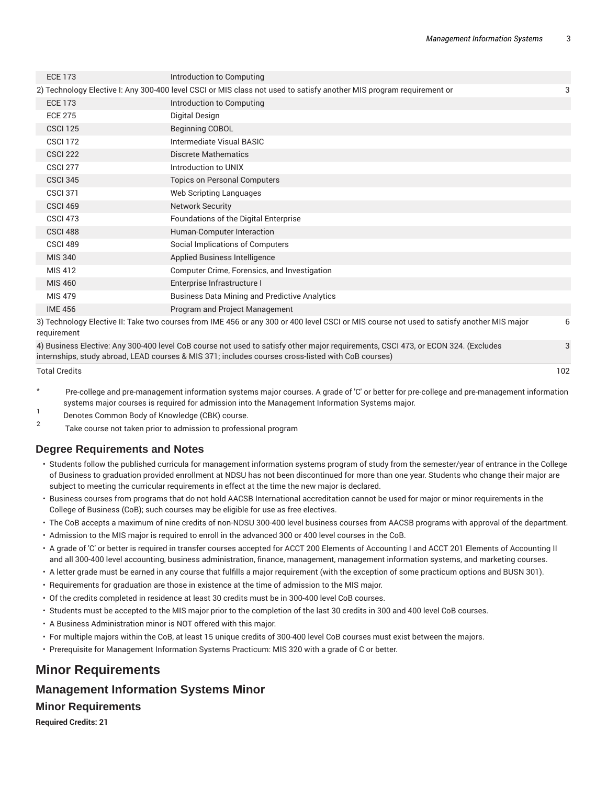3

| <b>ECE 173</b>  | Introduction to Computing                                                                                                                 |   |
|-----------------|-------------------------------------------------------------------------------------------------------------------------------------------|---|
|                 | 2) Technology Elective I: Any 300-400 level CSCI or MIS class not used to satisfy another MIS program requirement or                      | 3 |
| <b>ECE 173</b>  | Introduction to Computing                                                                                                                 |   |
| <b>ECE 275</b>  | Digital Design                                                                                                                            |   |
| <b>CSCI 125</b> | Beginning COBOL                                                                                                                           |   |
| <b>CSCI 172</b> | Intermediate Visual BASIC                                                                                                                 |   |
| <b>CSCI 222</b> | Discrete Mathematics                                                                                                                      |   |
| <b>CSCI 277</b> | Introduction to UNIX                                                                                                                      |   |
| <b>CSCI 345</b> | <b>Topics on Personal Computers</b>                                                                                                       |   |
| <b>CSCI 371</b> | Web Scripting Languages                                                                                                                   |   |
| <b>CSCI 469</b> | <b>Network Security</b>                                                                                                                   |   |
| <b>CSCI 473</b> | Foundations of the Digital Enterprise                                                                                                     |   |
| CSCI 488        | Human-Computer Interaction                                                                                                                |   |
| CSCI 489        | Social Implications of Computers                                                                                                          |   |
| <b>MIS 340</b>  | Applied Business Intelligence                                                                                                             |   |
| MIS 412         | Computer Crime, Forensics, and Investigation                                                                                              |   |
| <b>MIS 460</b>  | Enterprise Infrastructure I                                                                                                               |   |
| <b>MIS 479</b>  | <b>Business Data Mining and Predictive Analytics</b>                                                                                      |   |
| <b>IME 456</b>  | Program and Project Management                                                                                                            |   |
| requirement     | 3) Technology Elective II: Take two courses from IME 456 or any 300 or 400 level CSCI or MIS course not used to satisfy another MIS major | 6 |

4) Business Elective: Any 300-400 level CoB course not used to satisfy other major requirements, CSCI 473, or ECON 324. (Excludes internships, study abroad, LEAD courses & MIS 371; includes courses cross-listed with CoB courses)

Total Credits 102

- Pre-college and pre-management information systems major courses. A grade of 'C' or better for pre-college and pre-management information systems major courses is required for admission into the Management Information Systems major.
- 1 Denotes Common Body of Knowledge (CBK) course.
- 2 Take course not taken prior to admission to professional program

# **Degree Requirements and Notes**

- Students follow the published curricula for management information systems program of study from the semester/year of entrance in the College of Business to graduation provided enrollment at NDSU has not been discontinued for more than one year. Students who change their major are subject to meeting the curricular requirements in effect at the time the new major is declared.
- Business courses from programs that do not hold AACSB International accreditation cannot be used for major or minor requirements in the College of Business (CoB); such courses may be eligible for use as free electives.
- The CoB accepts a maximum of nine credits of non-NDSU 300-400 level business courses from AACSB programs with approval of the department.
- Admission to the MIS major is required to enroll in the advanced 300 or 400 level courses in the CoB.
- A grade of 'C' or better is required in transfer courses accepted for ACCT 200 Elements of Accounting I and ACCT 201 Elements of Accounting II and all 300-400 level accounting, business administration, finance, management, management information systems, and marketing courses.
- A letter grade must be earned in any course that fulfills a major requirement (with the exception of some practicum options and BUSN 301).
- Requirements for graduation are those in existence at the time of admission to the MIS major.
- Of the credits completed in residence at least 30 credits must be in 300-400 level CoB courses.
- Students must be accepted to the MIS major prior to the completion of the last 30 credits in 300 and 400 level CoB courses.
- A Business Administration minor is NOT offered with this major.
- For multiple majors within the CoB, at least 15 unique credits of 300-400 level CoB courses must exist between the majors.
- Prerequisite for Management Information Systems Practicum: MIS 320 with a grade of C or better.

# **Minor Requirements**

## **Management Information Systems Minor**

#### **Minor Requirements**

**Required Credits: 21**